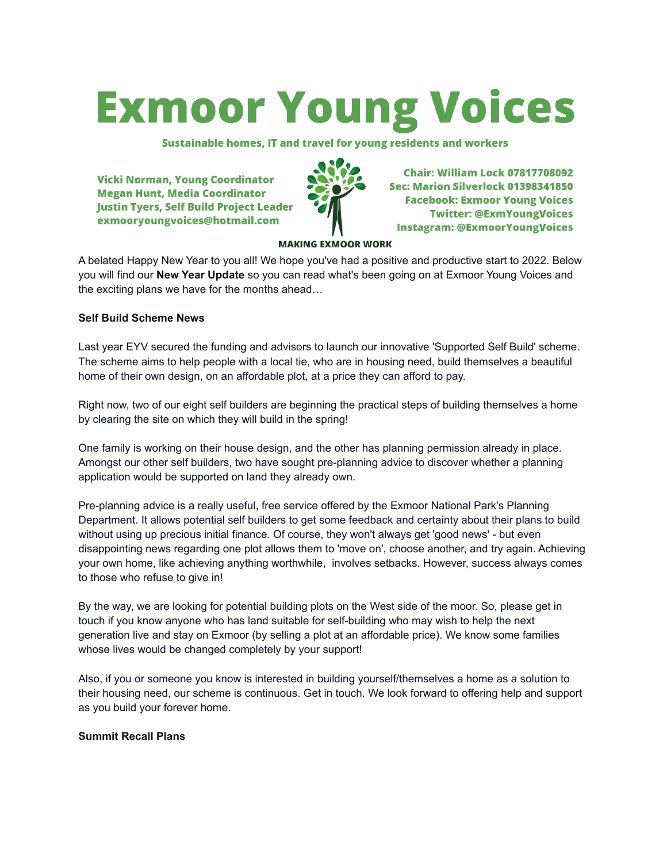# **Exmoor Young Voices**

Sustainable homes, IT and travel for young residents and workers

**Vicki Norman, Young Coordinator Megan Hunt, Media Coordinator Justin Tyers, Self Build Project Leader** exmooryoungvoices@hotmail.com



**Chair: William Lock 07817708092** Sec: Marion Silverlock 01398341850 **Facebook: Exmoor Young Voices Twitter: @ExmYoungVoices Instagram: @ExmoorYoungVoices** 

#### **MAKING EXMOOR WORK**

A belated Happy New Year to you all! We hope you've had a positive and productive start to 2022. Below you will find our **New Year Update** so you can read what's been going on at Exmoor Young Voices and the exciting plans we have for the months ahead…

### **Self Build Scheme News**

Last year EYV secured the funding and advisors to launch our innovative 'Supported Self Build' scheme. The scheme aims to help people with a local tie, who are in housing need, build themselves a beautiful home of their own design, on an affordable plot, at a price they can afford to pay.

Right now, two of our eight self builders are beginning the practical steps of building themselves a home by clearing the site on which they will build in the spring!

One family is working on their house design, and the other has planning permission already in place. Amongst our other self builders, two have sought pre-planning advice to discover whether a planning application would be supported on land they already own.

Pre-planning advice is a really useful, free service offered by the Exmoor National Park's Planning Department. It allows potential self builders to get some feedback and certainty about their plans to build without using up precious initial finance. Of course, they won't always get 'good news' - but even disappointing news regarding one plot allows them to 'move on', choose another, and try again. Achieving your own home, like achieving anything worthwhile, involves setbacks. However, success always comes to those who refuse to give in!

By the way, we are looking for potential building plots on the West side of the moor. So, please get in touch if you know anyone who has land suitable for self-building who may wish to help the next generation live and stay on Exmoor (by selling a plot at an affordable price). We know some families whose lives would be changed completely by your support!

Also, if you or someone you know is interested in building yourself/themselves a home as a solution to their housing need, our scheme is continuous. Get in touch. We look forward to offering help and support as you build your forever home.

# **Summit Recall Plans**